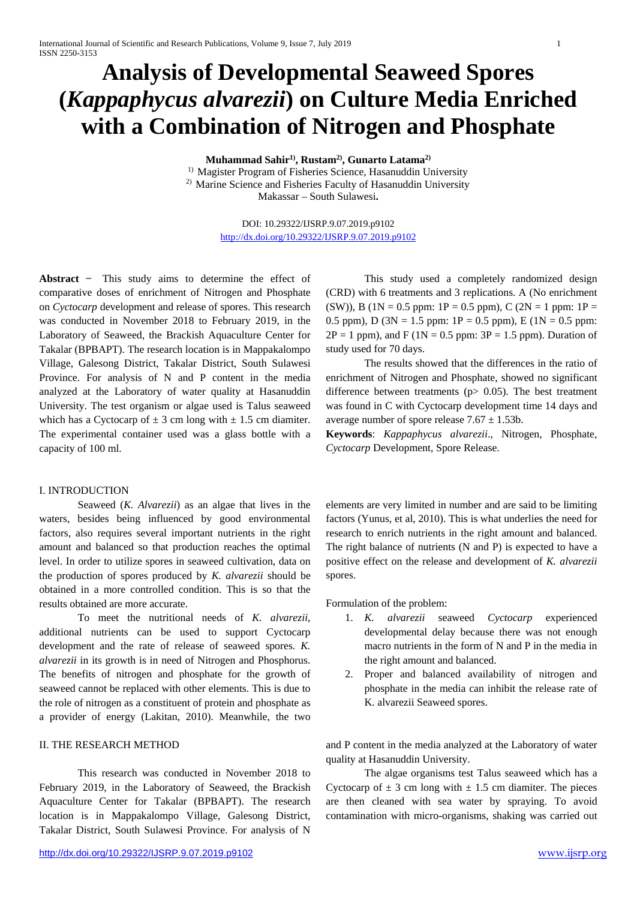# **Analysis of Developmental Seaweed Spores (***Kappaphycus alvarezii***) on Culture Media Enriched with a Combination of Nitrogen and Phosphate**

**Muhammad Sahir1), Rustam2), Gunarto Latama2)**

<sup>1)</sup> Magister Program of Fisheries Science, Hasanuddin University <sup>2)</sup> Marine Science and Fisheries Faculty of Hasanuddin University

Makassar – South Sulawesi**.**

DOI: 10.29322/IJSRP.9.07.2019.p9102 <http://dx.doi.org/10.29322/IJSRP.9.07.2019.p9102>

Abstract – This study aims to determine the effect of comparative doses of enrichment of Nitrogen and Phosphate on *Cyctocarp* development and release of spores. This research was conducted in November 2018 to February 2019, in the Laboratory of Seaweed, the Brackish Aquaculture Center for Takalar (BPBAPT). The research location is in Mappakalompo Village, Galesong District, Takalar District, South Sulawesi Province. For analysis of N and P content in the media analyzed at the Laboratory of water quality at Hasanuddin University. The test organism or algae used is Talus seaweed which has a Cyctocarp of  $\pm$  3 cm long with  $\pm$  1.5 cm diamiter. The experimental container used was a glass bottle with a capacity of 100 ml.

#### I. INTRODUCTION

Seaweed (*K. Alvarezii*) as an algae that lives in the waters, besides being influenced by good environmental factors, also requires several important nutrients in the right amount and balanced so that production reaches the optimal level. In order to utilize spores in seaweed cultivation, data on the production of spores produced by *K. alvarezii* should be obtained in a more controlled condition. This is so that the results obtained are more accurate.

To meet the nutritional needs of *K. alvarezii*, additional nutrients can be used to support Cyctocarp development and the rate of release of seaweed spores. *K. alvarezii* in its growth is in need of Nitrogen and Phosphorus. The benefits of nitrogen and phosphate for the growth of seaweed cannot be replaced with other elements. This is due to the role of nitrogen as a constituent of protein and phosphate as a provider of energy (Lakitan, 2010). Meanwhile, the two

# II. THE RESEARCH METHOD

This research was conducted in November 2018 to February 2019, in the Laboratory of Seaweed, the Brackish Aquaculture Center for Takalar (BPBAPT). The research location is in Mappakalompo Village, Galesong District, Takalar District, South Sulawesi Province. For analysis of N

This study used a completely randomized design (CRD) with 6 treatments and 3 replications. A (No enrichment (SW)), B (1N = 0.5 ppm: 1P = 0.5 ppm), C (2N = 1 ppm: 1P = 0.5 ppm), D ( $3N = 1.5$  ppm:  $1P = 0.5$  ppm), E ( $1N = 0.5$  ppm:  $2P = 1$  ppm), and F (1N = 0.5 ppm:  $3P = 1.5$  ppm). Duration of study used for 70 days.

The results showed that the differences in the ratio of enrichment of Nitrogen and Phosphate, showed no significant difference between treatments (p> 0.05). The best treatment was found in C with Cyctocarp development time 14 days and average number of spore release  $7.67 \pm 1.53b$ .

**Keywords**: *Kappaphycus alvarezii*., Nitrogen, Phosphate, *Cyctocarp* Development, Spore Release.

elements are very limited in number and are said to be limiting factors (Yunus, et al, 2010). This is what underlies the need for research to enrich nutrients in the right amount and balanced. The right balance of nutrients (N and P) is expected to have a positive effect on the release and development of *K. alvarezii* spores.

Formulation of the problem:

- 1. *K. alvarezii* seaweed *Cyctocarp* experienced developmental delay because there was not enough macro nutrients in the form of N and P in the media in the right amount and balanced.
- 2. Proper and balanced availability of nitrogen and phosphate in the media can inhibit the release rate of K. alvarezii Seaweed spores.

and P content in the media analyzed at the Laboratory of water quality at Hasanuddin University.

The algae organisms test Talus seaweed which has a Cyctocarp of  $\pm$  3 cm long with  $\pm$  1.5 cm diamiter. The pieces are then cleaned with sea water by spraying. To avoid contamination with micro-organisms, shaking was carried out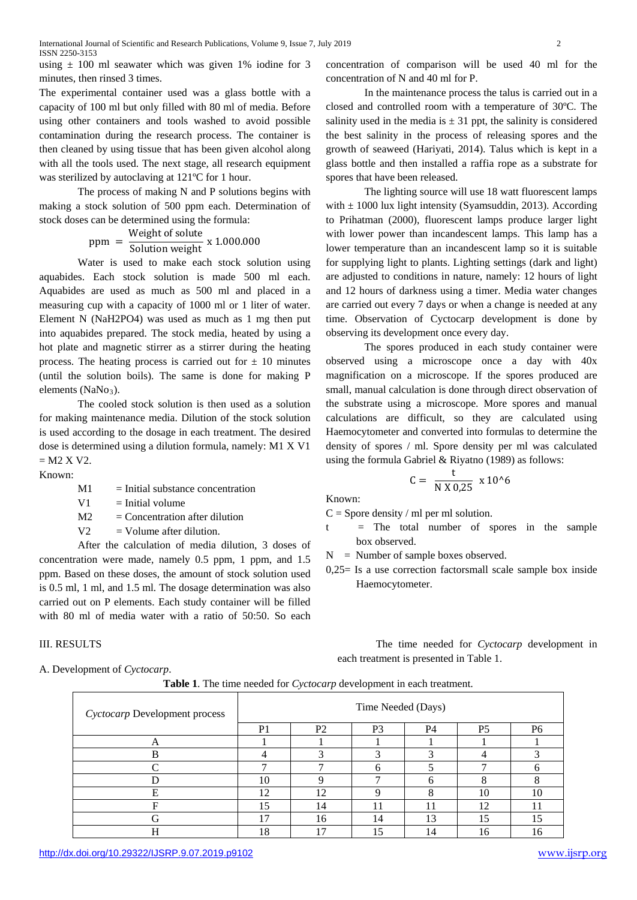using  $\pm$  100 ml seawater which was given 1% iodine for 3 minutes, then rinsed 3 times.

The experimental container used was a glass bottle with a capacity of 100 ml but only filled with 80 ml of media. Before using other containers and tools washed to avoid possible contamination during the research process. The container is then cleaned by using tissue that has been given alcohol along with all the tools used. The next stage, all research equipment was sterilized by autoclaving at 121ºC for 1 hour.

The process of making N and P solutions begins with making a stock solution of 500 ppm each. Determination of stock doses can be determined using the formula:

 $ppm = \frac{Weight \space of \space soluble}{Solution \space weight} \times 1.000.000$ 

Water is used to make each stock solution using aquabides. Each stock solution is made 500 ml each. Aquabides are used as much as 500 ml and placed in a measuring cup with a capacity of 1000 ml or 1 liter of water. Element N (NaH2PO4) was used as much as 1 mg then put into aquabides prepared. The stock media, heated by using a hot plate and magnetic stirrer as a stirrer during the heating process. The heating process is carried out for  $\pm$  10 minutes (until the solution boils). The same is done for making P elements ( $NaNo<sub>3</sub>$ ).

The cooled stock solution is then used as a solution for making maintenance media. Dilution of the stock solution is used according to the dosage in each treatment. The desired dose is determined using a dilution formula, namely: M1 X V1  $= M2 X V2$ .

Known:

 $M1 =$  Initial substance concentration

 $V1 =$  Initial volume

- $M2 =$  Concentration after dilution
- $V2 = Volume$  after dilution.

After the calculation of media dilution, 3 doses of concentration were made, namely 0.5 ppm, 1 ppm, and 1.5 ppm. Based on these doses, the amount of stock solution used is 0.5 ml, 1 ml, and 1.5 ml. The dosage determination was also carried out on P elements. Each study container will be filled with 80 ml of media water with a ratio of 50:50. So each

# III. RESULTS

A. Development of *Cyctocarp*.

concentration of comparison will be used 40 ml for the concentration of N and 40 ml for P.

In the maintenance process the talus is carried out in a closed and controlled room with a temperature of 30ºC. The salinity used in the media is  $\pm$  31 ppt, the salinity is considered the best salinity in the process of releasing spores and the growth of seaweed (Hariyati, 2014). Talus which is kept in a glass bottle and then installed a raffia rope as a substrate for spores that have been released.

The lighting source will use 18 watt fluorescent lamps with  $\pm$  1000 lux light intensity (Syamsuddin, 2013). According to Prihatman (2000), fluorescent lamps produce larger light with lower power than incandescent lamps. This lamp has a lower temperature than an incandescent lamp so it is suitable for supplying light to plants. Lighting settings (dark and light) are adjusted to conditions in nature, namely: 12 hours of light and 12 hours of darkness using a timer. Media water changes are carried out every 7 days or when a change is needed at any time. Observation of Cyctocarp development is done by observing its development once every day.

The spores produced in each study container were observed using a microscope once a day with 40x magnification on a microscope. If the spores produced are small, manual calculation is done through direct observation of the substrate using a microscope. More spores and manual calculations are difficult, so they are calculated using Haemocytometer and converted into formulas to determine the density of spores / ml. Spore density per ml was calculated using the formula Gabriel & Riyatno (1989) as follows:

$$
C = \frac{t}{N X 0.25} X 10^{16}
$$

Known:

 $C =$  Spore density / ml per ml solution.

 $=$  The total number of spores in the sample box observed.

N = Number of sample boxes observed.

0,25= Is a use correction factorsmall scale sample box inside Haemocytometer.

The time needed for *Cyctocarp* development in each treatment is presented in Table 1.

|  |  |  |  |  | Table 1. The time needed for Cyctocarp development in each treatment. |  |  |  |  |
|--|--|--|--|--|-----------------------------------------------------------------------|--|--|--|--|
|--|--|--|--|--|-----------------------------------------------------------------------|--|--|--|--|

| Cyctocarp Development process | Time Needed (Days) |                |                |           |                |                |  |  |
|-------------------------------|--------------------|----------------|----------------|-----------|----------------|----------------|--|--|
|                               | P <sub>1</sub>     | P <sub>2</sub> | P <sub>3</sub> | <b>P4</b> | P <sub>5</sub> | P <sub>6</sub> |  |  |
| A                             |                    |                |                |           |                |                |  |  |
| в                             |                    |                |                |           |                |                |  |  |
|                               |                    |                | n              |           |                |                |  |  |
|                               | 10                 |                | −              | h         | $\Omega$       |                |  |  |
| Е                             | 12                 | 12             | Q              | O         | 10             | 10             |  |  |
| E                             | 5                  | 14             |                | 11        | 12             |                |  |  |
| G                             | <u>π</u>           | 16             | 14             | 13        | 15             | 15             |  |  |
| Н                             | 18                 | 15             | 15             | 14        | 16             | 16             |  |  |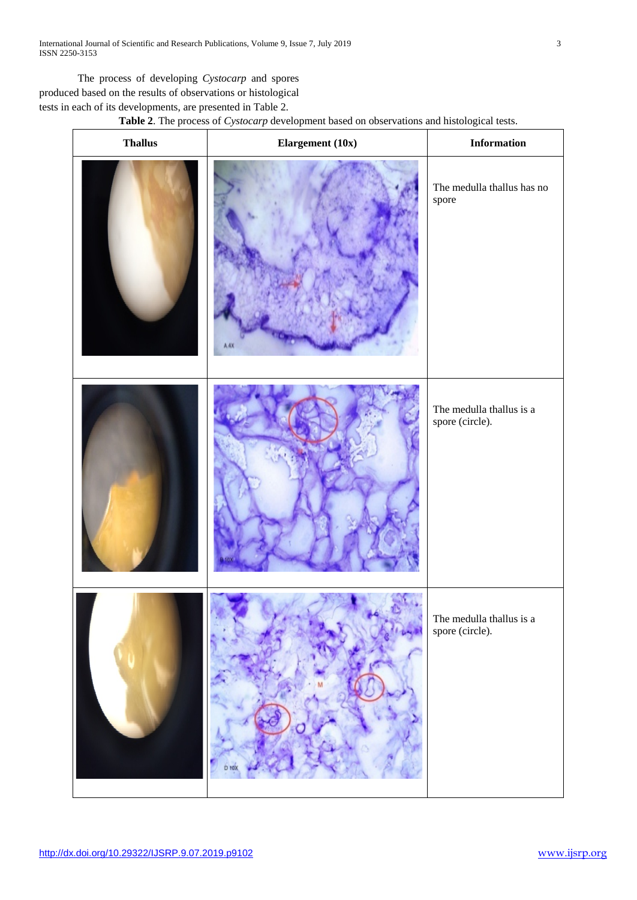The process of developing *Cystocarp* and spores produced based on the results of observations or histological tests in each of its developments, are presented in Table 2.

# **Table 2**. The process of *Cystocarp* development based on observations and histological tests.

| $\boldsymbol{\mathrm{Thallus}}$ | Elargement (10x) | <b>Information</b>                          |  |
|---------------------------------|------------------|---------------------------------------------|--|
|                                 | A.AX             | The medulla thallus has no<br>spore         |  |
|                                 |                  | The medulla thallus is a<br>spore (circle). |  |
|                                 |                  | The medulla thallus is a<br>spore (circle). |  |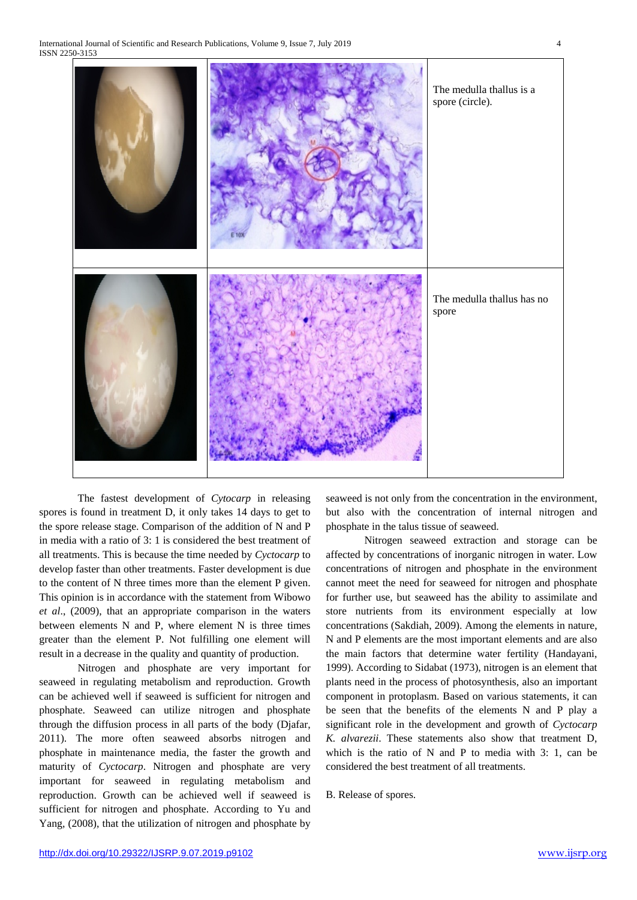

The fastest development of *Cytocarp* in releasing spores is found in treatment D, it only takes 14 days to get to the spore release stage. Comparison of the addition of N and P in media with a ratio of 3: 1 is considered the best treatment of all treatments. This is because the time needed by *Cyctocarp* to develop faster than other treatments. Faster development is due to the content of N three times more than the element P given. This opinion is in accordance with the statement from Wibowo *et al*., (2009), that an appropriate comparison in the waters between elements N and P, where element N is three times greater than the element P. Not fulfilling one element will result in a decrease in the quality and quantity of production.

Nitrogen and phosphate are very important for seaweed in regulating metabolism and reproduction. Growth can be achieved well if seaweed is sufficient for nitrogen and phosphate. Seaweed can utilize nitrogen and phosphate through the diffusion process in all parts of the body (Djafar, 2011). The more often seaweed absorbs nitrogen and phosphate in maintenance media, the faster the growth and maturity of *Cyctocarp*. Nitrogen and phosphate are very important for seaweed in regulating metabolism and reproduction. Growth can be achieved well if seaweed is sufficient for nitrogen and phosphate. According to Yu and Yang, (2008), that the utilization of nitrogen and phosphate by

seaweed is not only from the concentration in the environment, but also with the concentration of internal nitrogen and phosphate in the talus tissue of seaweed.

Nitrogen seaweed extraction and storage can be affected by concentrations of inorganic nitrogen in water. Low concentrations of nitrogen and phosphate in the environment cannot meet the need for seaweed for nitrogen and phosphate for further use, but seaweed has the ability to assimilate and store nutrients from its environment especially at low concentrations (Sakdiah, 2009). Among the elements in nature, N and P elements are the most important elements and are also the main factors that determine water fertility (Handayani, 1999). According to Sidabat (1973), nitrogen is an element that plants need in the process of photosynthesis, also an important component in protoplasm. Based on various statements, it can be seen that the benefits of the elements N and P play a significant role in the development and growth of *Cyctocarp K. alvarezii*. These statements also show that treatment D, which is the ratio of N and P to media with 3: 1, can be considered the best treatment of all treatments.

B. Release of spores.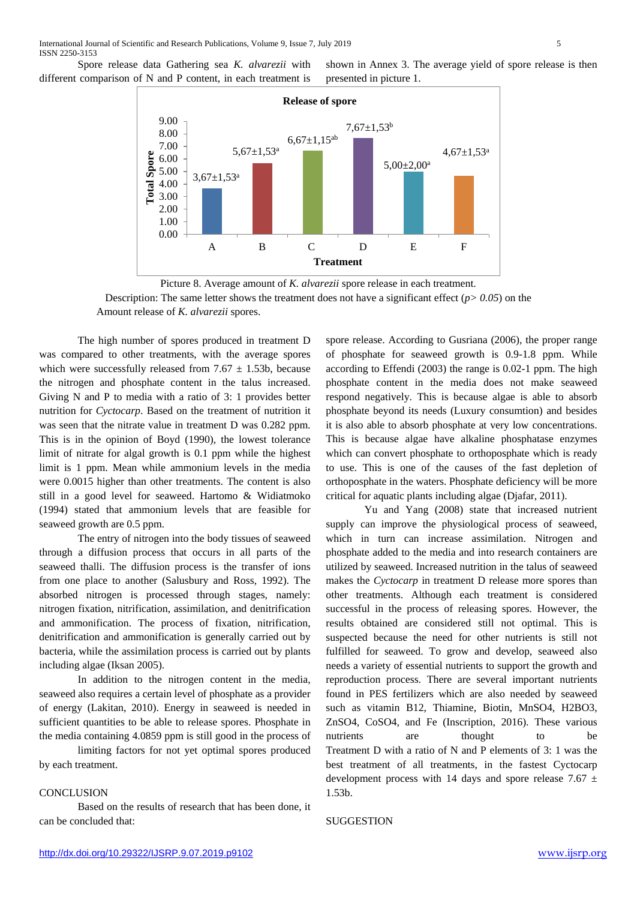Spore release data Gathering sea *K. alvarezii* with different comparison of N and P content, in each treatment is shown in Annex 3. The average yield of spore release is then presented in picture 1.



Picture 8. Average amount of *K. alvarezii* spore release in each treatment. Description: The same letter shows the treatment does not have a significant effect  $(p > 0.05)$  on the Amount release of *K. alvarezii* spores.

The high number of spores produced in treatment D was compared to other treatments, with the average spores which were successfully released from  $7.67 \pm 1.53b$ , because the nitrogen and phosphate content in the talus increased. Giving N and P to media with a ratio of 3: 1 provides better nutrition for *Cyctocarp*. Based on the treatment of nutrition it was seen that the nitrate value in treatment D was 0.282 ppm. This is in the opinion of Boyd (1990), the lowest tolerance limit of nitrate for algal growth is 0.1 ppm while the highest limit is 1 ppm. Mean while ammonium levels in the media were 0.0015 higher than other treatments. The content is also still in a good level for seaweed. Hartomo & Widiatmoko (1994) stated that ammonium levels that are feasible for seaweed growth are 0.5 ppm.

The entry of nitrogen into the body tissues of seaweed through a diffusion process that occurs in all parts of the seaweed thalli. The diffusion process is the transfer of ions from one place to another (Salusbury and Ross, 1992). The absorbed nitrogen is processed through stages, namely: nitrogen fixation, nitrification, assimilation, and denitrification and ammonification. The process of fixation, nitrification, denitrification and ammonification is generally carried out by bacteria, while the assimilation process is carried out by plants including algae (Iksan 2005).

In addition to the nitrogen content in the media, seaweed also requires a certain level of phosphate as a provider of energy (Lakitan, 2010). Energy in seaweed is needed in sufficient quantities to be able to release spores. Phosphate in the media containing 4.0859 ppm is still good in the process of

limiting factors for not yet optimal spores produced by each treatment.

### **CONCLUSION**

Based on the results of research that has been done, it can be concluded that:

spore release. According to Gusriana (2006), the proper range of phosphate for seaweed growth is 0.9-1.8 ppm. While according to Effendi (2003) the range is 0.02-1 ppm. The high phosphate content in the media does not make seaweed respond negatively. This is because algae is able to absorb phosphate beyond its needs (Luxury consumtion) and besides it is also able to absorb phosphate at very low concentrations. This is because algae have alkaline phosphatase enzymes which can convert phosphate to orthoposphate which is ready to use. This is one of the causes of the fast depletion of orthoposphate in the waters. Phosphate deficiency will be more critical for aquatic plants including algae (Djafar, 2011).

Yu and Yang (2008) state that increased nutrient supply can improve the physiological process of seaweed, which in turn can increase assimilation. Nitrogen and phosphate added to the media and into research containers are utilized by seaweed. Increased nutrition in the talus of seaweed makes the *Cyctocarp* in treatment D release more spores than other treatments. Although each treatment is considered successful in the process of releasing spores. However, the results obtained are considered still not optimal. This is suspected because the need for other nutrients is still not fulfilled for seaweed. To grow and develop, seaweed also needs a variety of essential nutrients to support the growth and reproduction process. There are several important nutrients found in PES fertilizers which are also needed by seaweed such as vitamin B12, Thiamine, Biotin, MnSO4, H2BO3, ZnSO4, CoSO4, and Fe (Inscription, 2016). These various nutrients are thought to be Treatment D with a ratio of N and P elements of 3: 1 was the best treatment of all treatments, in the fastest Cyctocarp development process with 14 days and spore release 7.67  $\pm$ 1.53b.

#### SUGGESTION